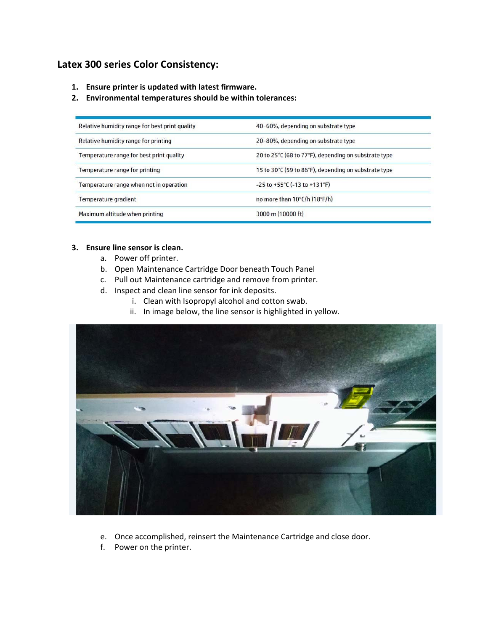# **Latex 300 series Color Consistency:**

- **1. Ensure printer is updated with latest firmware.**
- **2. Environmental temperatures should be within tolerances:**

| Relative humidity range for best print quality | 40-60%, depending on substrate type                   |
|------------------------------------------------|-------------------------------------------------------|
| Relative humidity range for printing           | 20-80%, depending on substrate type                   |
| Temperature range for best print quality       | 20 to 25°C (68 to 77°F), depending on substrate type  |
| Temperature range for printing                 | 15 to 30°C (59 to 86°F), depending on substrate type  |
| Temperature range when not in operation        | $-25$ to $+55^{\circ}$ C ( $-13$ to $+131^{\circ}$ F) |
| Temperature gradient                           | no more than 10°C/h (18°F/h)                          |
| Maximum altitude when printing                 | 3000 m (10000 ft)                                     |

# **3. Ensure line sensor is clean.**

- a. Power off printer.
- b. Open Maintenance Cartridge Door beneath Touch Panel
- c. Pull out Maintenance cartridge and remove from printer.
- d. Inspect and clean line sensor for ink deposits.
	- i. Clean with Isopropyl alcohol and cotton swab.
	- ii. In image below, the line sensor is highlighted in yellow.



- e. Once accomplished, reinsert the Maintenance Cartridge and close door.
- f. Power on the printer.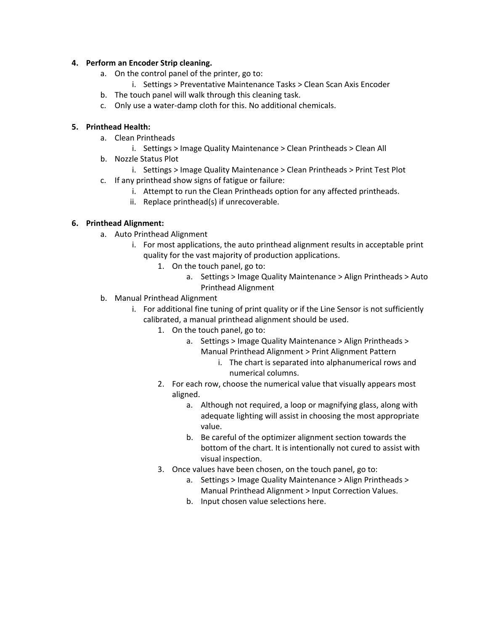## **4. Perform an Encoder Strip cleaning.**

- a. On the control panel of the printer, go to:
	- i. Settings > Preventative Maintenance Tasks > Clean Scan Axis Encoder
- b. The touch panel will walk through this cleaning task.
- c. Only use a water‐damp cloth for this. No additional chemicals.

## **5. Printhead Health:**

- a. Clean Printheads
	- i. Settings > Image Quality Maintenance > Clean Printheads > Clean All
- b. Nozzle Status Plot
	- i. Settings > Image Quality Maintenance > Clean Printheads > Print Test Plot
- c. If any printhead show signs of fatigue or failure:
	- i. Attempt to run the Clean Printheads option for any affected printheads.
	- ii. Replace printhead(s) if unrecoverable.

## **6. Printhead Alignment:**

- a. Auto Printhead Alignment
	- i. For most applications, the auto printhead alignment results in acceptable print quality for the vast majority of production applications.
		- 1. On the touch panel, go to:
			- a. Settings > Image Quality Maintenance > Align Printheads > Auto Printhead Alignment
- b. Manual Printhead Alignment
	- i. For additional fine tuning of print quality or if the Line Sensor is not sufficiently calibrated, a manual printhead alignment should be used.
		- 1. On the touch panel, go to:
			- a. Settings > Image Quality Maintenance > Align Printheads > Manual Printhead Alignment > Print Alignment Pattern
				- i. The chart is separated into alphanumerical rows and numerical columns.
		- 2. For each row, choose the numerical value that visually appears most aligned.
			- a. Although not required, a loop or magnifying glass, along with adequate lighting will assist in choosing the most appropriate value.
			- b. Be careful of the optimizer alignment section towards the bottom of the chart. It is intentionally not cured to assist with visual inspection.
		- 3. Once values have been chosen, on the touch panel, go to:
			- a. Settings > Image Quality Maintenance > Align Printheads > Manual Printhead Alignment > Input Correction Values.
			- b. Input chosen value selections here.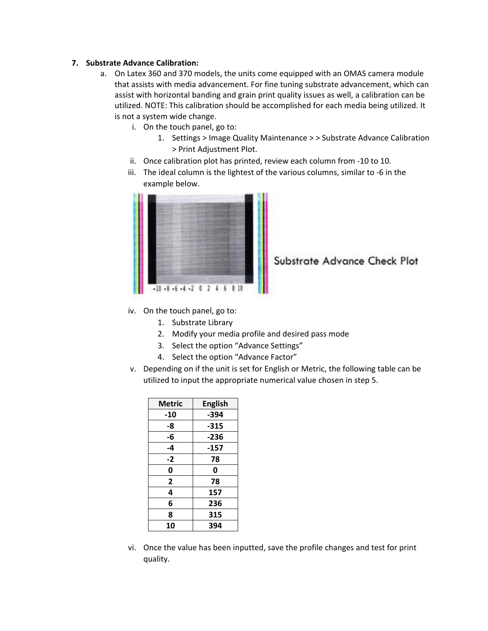#### **7. Substrate Advance Calibration:**

- a. On Latex 360 and 370 models, the units come equipped with an OMAS camera module that assists with media advancement. For fine tuning substrate advancement, which can assist with horizontal banding and grain print quality issues as well, a calibration can be utilized. NOTE: This calibration should be accomplished for each media being utilized. It is not a system wide change.
	- i. On the touch panel, go to:
		- 1. Settings > Image Quality Maintenance > > Substrate Advance Calibration > Print Adjustment Plot.
	- ii. Once calibration plot has printed, review each column from ‐10 to 10.
	- iii. The ideal column is the lightest of the various columns, similar to ‐6 in the example below.



Substrate Advance Check Plot

- iv. On the touch panel, go to:
	- 1. Substrate Library
	- 2. Modify your media profile and desired pass mode
	- 3. Select the option "Advance Settings"
	- 4. Select the option "Advance Factor"
- v. Depending on if the unit is set for English or Metric, the following table can be utilized to input the appropriate numerical value chosen in step 5.

| Metric | <b>English</b> |
|--------|----------------|
| -10    | -394           |
| -8     | $-315$         |
| -6     | -236           |
| -4     | -157           |
| $-2$   | 78             |
| 0      | 0              |
| 2      | 78             |
| 4      | 157            |
| 6      | 236            |
| 8      | 315            |
| 10     | 394            |

vi. Once the value has been inputted, save the profile changes and test for print quality.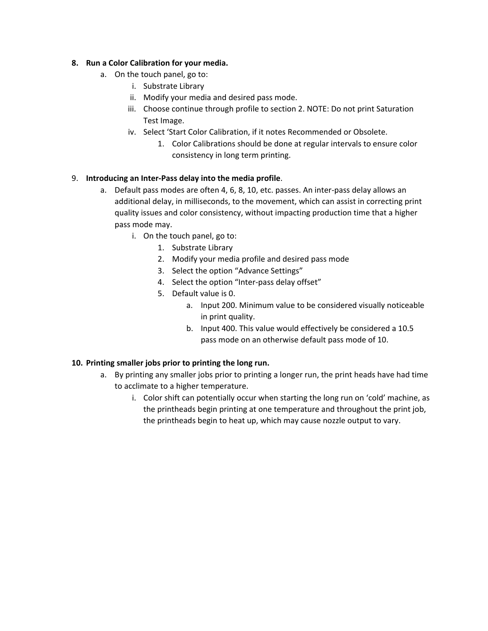## **8. Run a Color Calibration for your media.**

- a. On the touch panel, go to:
	- i. Substrate Library
	- ii. Modify your media and desired pass mode.
	- iii. Choose continue through profile to section 2. NOTE: Do not print Saturation Test Image.
	- iv. Select 'Start Color Calibration, if it notes Recommended or Obsolete.
		- 1. Color Calibrations should be done at regular intervals to ensure color consistency in long term printing.

## 9. **Introducing an Inter‐Pass delay into the media profile**.

- a. Default pass modes are often 4, 6, 8, 10, etc. passes. An inter-pass delay allows an additional delay, in milliseconds, to the movement, which can assist in correcting print quality issues and color consistency, without impacting production time that a higher pass mode may.
	- i. On the touch panel, go to:
		- 1. Substrate Library
		- 2. Modify your media profile and desired pass mode
		- 3. Select the option "Advance Settings"
		- 4. Select the option "Inter-pass delay offset"
		- 5. Default value is 0.
			- a. Input 200. Minimum value to be considered visually noticeable in print quality.
			- b. Input 400. This value would effectively be considered a 10.5 pass mode on an otherwise default pass mode of 10.

## **10. Printing smaller jobs prior to printing the long run.**

- a. By printing any smaller jobs prior to printing a longer run, the print heads have had time to acclimate to a higher temperature.
	- i. Color shift can potentially occur when starting the long run on 'cold' machine, as the printheads begin printing at one temperature and throughout the print job, the printheads begin to heat up, which may cause nozzle output to vary.